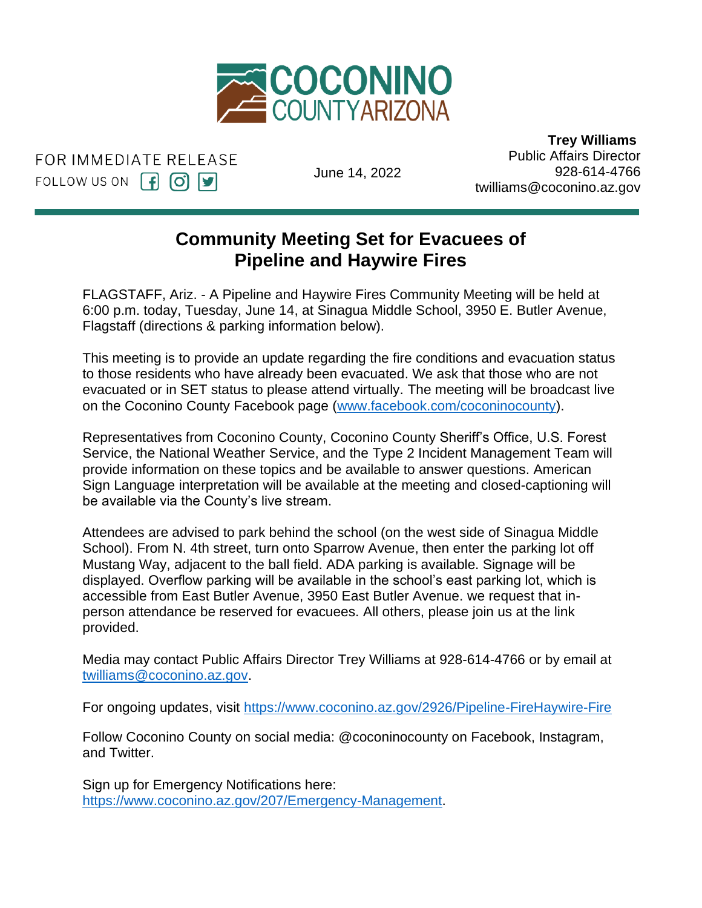

FOR IMMEDIATE RELEASE FOLLOW US ON  $\left[\begin{matrix} 1 \end{matrix}\right]$   $\left[\begin{matrix} 0 \end{matrix}\right]$   $\left[\begin{matrix} 9 \end{matrix}\right]$ 

June 14, 2022

 **Trey Williams** Public Affairs Director 928-614-4766 twilliams@coconino.az.gov

## **Community Meeting Set for Evacuees of Pipeline and Haywire Fires**

FLAGSTAFF, Ariz. - A Pipeline and Haywire Fires Community Meeting will be held at 6:00 p.m. today, Tuesday, June 14, at Sinagua Middle School, 3950 E. Butler Avenue, ered plant teady, receady, early 11, at omaged made<br>Flagstaff (directions & parking information below).  $\cup$ w $\overline{y}$ .

This meeting is to provide an update regarding the fire conditions and evacuation status to those residents who have already been evacuated. We ask that those who are not evacuated or in SET status to please attend virtually. The meeting will be broadcast live on the Coconino County Facebook page [\(www.facebook.com/coconinocounty\)](file:///C:/Users/twilliams/AppData/Local/Microsoft/Windows/INetCache/Content.Outlook/EW8EI6NR/www.facebook.com/coconinocounty).

Representatives from Coconino County, Coconino County Sheriff's Office, U.S. Forest Service, the National Weather Service, and the Type 2 Incident Management Team will provide information on these topics and be available to answer questions. American Sign Language interpretation will be available at the meeting and closed-captioning will be available via the County's live stream.

Attendees are advised to park behind the school (on the west side of Sinagua Middle School). From N. 4th street, turn onto Sparrow Avenue, then enter the parking lot off Mustang Way, adjacent to the ball field. ADA parking is available. Signage will be displayed. Overflow parking will be available in the school's east parking lot, which is accessible from East Butler Avenue, 3950 East Butler Avenue. we request that inperson attendance be reserved for evacuees. All others, please join us at the link provided.

Media may contact Public Affairs Director Trey Williams at 928-614-4766 or by email at [twilliams@coconino.az.gov.](mailto:twilliams@coconino.az.gov)

For ongoing updates, visit<https://www.coconino.az.gov/2926/Pipeline-FireHaywire-Fire>

Follow Coconino County on social media: @coconinocounty on Facebook, Instagram, and Twitter.

Sign up for Emergency Notifications here: [https://www.coconino.az.gov/207/Emergency-Management.](https://www.coconino.az.gov/207/Emergency-Management)